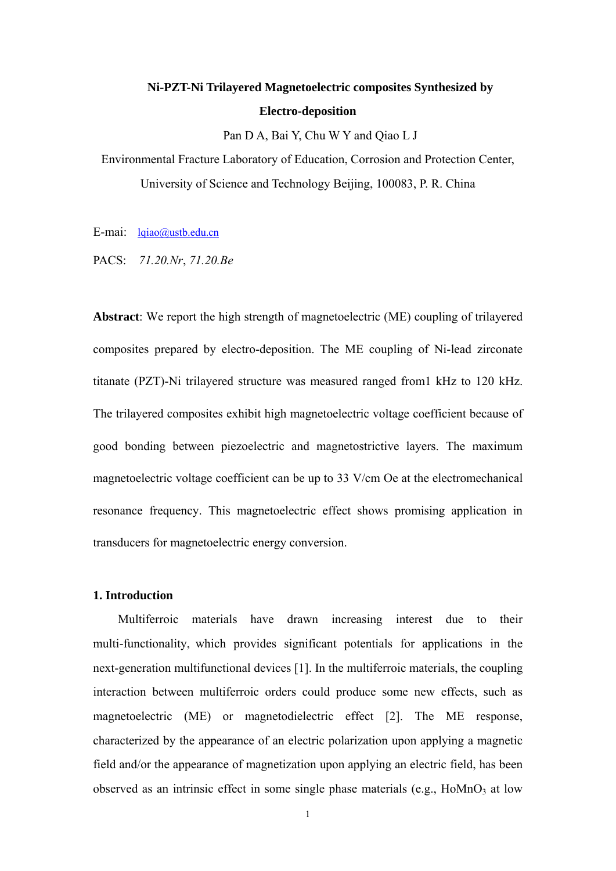# **Ni-PZT-Ni Trilayered Magnetoelectric composites Synthesized by Electro-deposition**

Pan D A, Bai Y, Chu W Y and Qiao L J

Environmental Fracture Laboratory of Education, Corrosion and Protection Center, University of Science and Technology Beijing, 100083, P. R. China

E-mai: [lqiao@ustb.edu.cn](mailto:lqiao@ustb.edu.cn)

PACS: *71.20.Nr*, *71.20.Be*

**Abstract**: We report the high strength of magnetoelectric (ME) coupling of trilayered composites prepared by electro-deposition. The ME coupling of Ni-lead zirconate titanate (PZT)-Ni trilayered structure was measured ranged from1 kHz to 120 kHz. The trilayered composites exhibit high magnetoelectric voltage coefficient because of good bonding between piezoelectric and magnetostrictive layers. The maximum magnetoelectric voltage coefficient can be up to 33 V/cm Oe at the electromechanical resonance frequency. This magnetoelectric effect shows promising application in transducers for magnetoelectric energy conversion.

# **1. Introduction**

Multiferroic materials have drawn increasing interest due to their multi-functionality, which provides significant potentials for applications in the next-generation multifunctional devices [1]. In the multiferroic materials, the coupling interaction between multiferroic orders could produce some new effects, such as magnetoelectric (ME) or magnetodielectric effect [2]. The ME response, characterized by the appearance of an electric polarization upon applying a magnetic field and/or the appearance of magnetization upon applying an electric field, has been observed as an intrinsic effect in some single phase materials (e.g.,  $H_0M_1O_3$  at low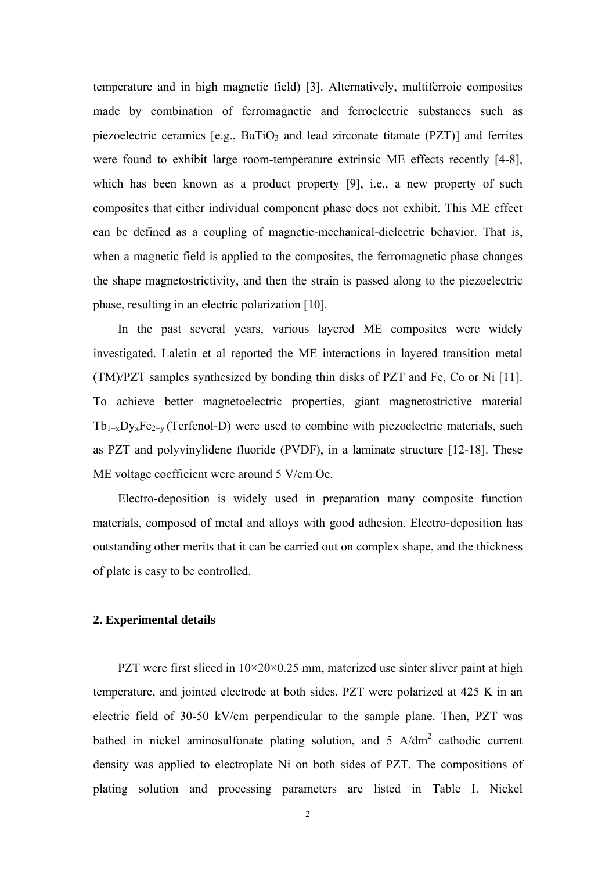temperature and in high magnetic field) [3]. Alternatively, multiferroic composites made by combination of ferromagnetic and ferroelectric substances such as piezoelectric ceramics  $[e.g., BaTiO<sub>3</sub>$  and lead zirconate titanate  $(PZT)$ ] and ferrites were found to exhibit large room-temperature extrinsic ME effects recently [4-8], which has been known as a product property [9], i.e., a new property of such composites that either individual component phase does not exhibit. This ME effect can be defined as a coupling of magnetic-mechanical-dielectric behavior. That is, when a magnetic field is applied to the composites, the ferromagnetic phase changes the shape magnetostrictivity, and then the strain is passed along to the piezoelectric phase, resulting in an electric polarization [10].

In the past several years, various layered ME composites were widely investigated. Laletin et al reported the ME interactions in layered transition metal (TM)/PZT samples synthesized by bonding thin disks of PZT and Fe, Co or Ni [11]. To achieve better magnetoelectric properties, giant magnetostrictive material  $Tb_{1-x}Dy_xFe_{2-y}$  (Terfenol-D) were used to combine with piezoelectric materials, such as PZT and polyvinylidene fluoride (PVDF), in a laminate structure [12-18]. These ME voltage coefficient were around 5 V/cm Oe.

Electro-deposition is widely used in preparation many composite function materials, composed of metal and alloys with good adhesion. Electro-deposition has outstanding other merits that it can be carried out on complex shape, and the thickness of plate is easy to be controlled.

# **2. Experimental details**

PZT were first sliced in  $10 \times 20 \times 0.25$  mm, materized use sinter sliver paint at high temperature, and jointed electrode at both sides. PZT were polarized at 425 K in an electric field of 30-50 kV/cm perpendicular to the sample plane. Then, PZT was bathed in nickel aminosulfonate plating solution, and  $5$  A/dm<sup>2</sup> cathodic current density was applied to electroplate Ni on both sides of PZT. The compositions of plating solution and processing parameters are listed in Table I. Nickel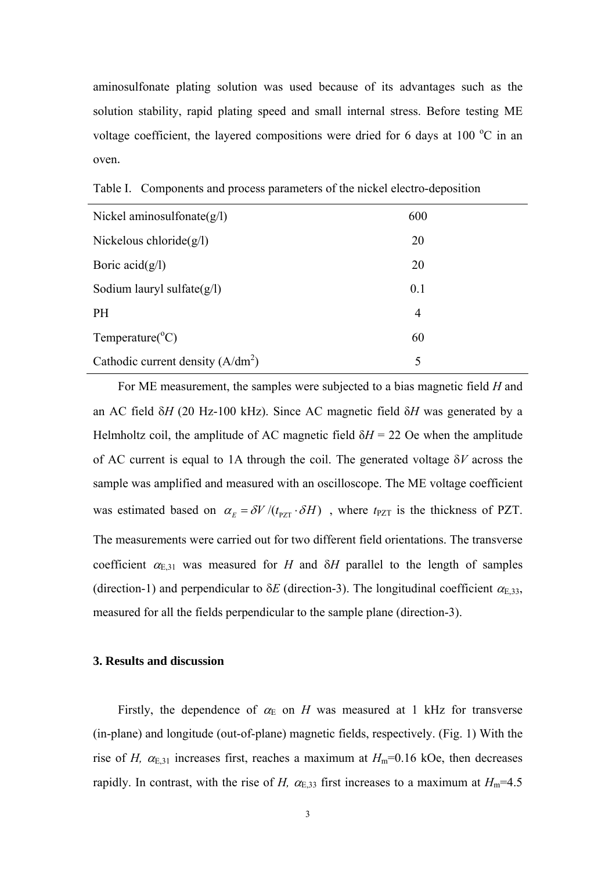aminosulfonate plating solution was used because of its advantages such as the solution stability, rapid plating speed and small internal stress. Before testing ME voltage coefficient, the layered compositions were dried for 6 days at 100  $^{\circ}$ C in an oven.

| Nickel aminosulfonate $(g/l)$       | 600            |  |
|-------------------------------------|----------------|--|
| Nickelous chloride $(g/l)$          | 20             |  |
| Boric $\text{acid}(g/l)$            | 20             |  |
| Sodium lauryl sulfate $(g/l)$       | 0.1            |  |
| <b>PH</b>                           | $\overline{4}$ |  |
| Temperature( ${}^{\circ}$ C)        | 60             |  |
| Cathodic current density $(A/dm^2)$ | 5              |  |
|                                     |                |  |

Table I.Components and process parameters of the nickel electro-deposition

For ME measurement, the samples were subjected to a bias magnetic field *H* and an AC field δ*H* (20 Hz-100 kHz). Since AC magnetic field δ*H* was generated by a Helmholtz coil, the amplitude of AC magnetic field  $\delta H = 22$  Oe when the amplitude of AC current is equal to 1A through the coil. The generated voltage δ*V* across the sample was amplified and measured with an oscilloscope. The ME voltage coefficient was estimated based on  $\alpha_E = \frac{\partial V}{\partial t_{PZT}} \cdot \frac{\partial H}{\partial t}$ , where  $t_{PZT}$  is the thickness of PZT. The measurements were carried out for two different field orientations. The transverse coefficient  $\alpha_{E,31}$  was measured for *H* and  $\delta$ *H* parallel to the length of samples (direction-1) and perpendicular to  $\delta E$  (direction-3). The longitudinal coefficient  $\alpha_{E,33}$ , measured for all the fields perpendicular to the sample plane (direction-3).

## **3. Results and discussion**

Firstly, the dependence of  $\alpha_E$  on *H* was measured at 1 kHz for transverse (in-plane) and longitude (out-of-plane) magnetic fields, respectively. (Fig. 1) With the rise of *H*,  $\alpha_{E,31}$  increases first, reaches a maximum at  $H_m$ =0.16 kOe, then decreases rapidly. In contrast, with the rise of *H*,  $\alpha_{E,33}$  first increases to a maximum at  $H_m$ =4.5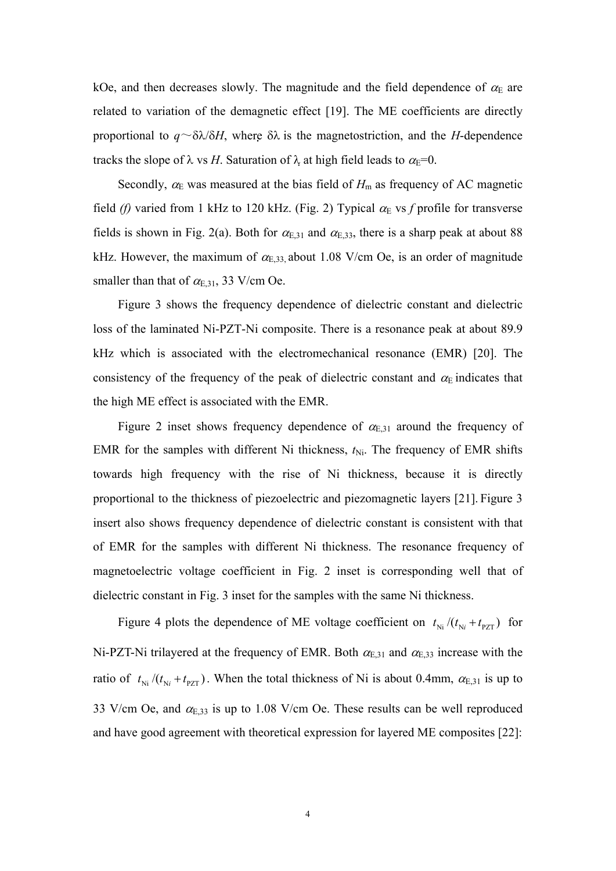kOe, and then decreases slowly. The magnitude and the field dependence of  $\alpha_{\rm E}$  are related to variation of the demagnetic effect [19]. The ME coefficients are directly proportional to  $q \sim \delta \lambda / \delta H$ , where  $\delta \lambda$  is the magnetostriction, and the *H*-dependence tracks the slope of  $\lambda$  vs *H*. Saturation of  $\lambda$  at high field leads to  $\alpha_{E} = 0$ .

Secondly,  $\alpha_E$  was measured at the bias field of  $H_m$  as frequency of AC magnetic field *(f)* varied from 1 kHz to 120 kHz. (Fig. 2) Typical  $\alpha_E$  vs *f* profile for transverse fields is shown in Fig. 2(a). Both for  $\alpha_{E,31}$  and  $\alpha_{E,33}$ , there is a sharp peak at about 88 kHz. However, the maximum of  $\alpha_{E,33}$  about 1.08 V/cm Oe, is an order of magnitude smaller than that of  $\alpha_{E,31}$ , 33 V/cm Oe.

Figure 3 shows the frequency dependence of dielectric constant and dielectric loss of the laminated Ni-PZT-Ni composite. There is a resonance peak at about 89.9 kHz which is associated with the electromechanical resonance (EMR) [20]. The consistency of the frequency of the peak of dielectric constant and  $\alpha_{\rm E}$  indicates that the high ME effect is associated with the EMR.

Figure 2 inset shows frequency dependence of  $\alpha_{E,31}$  around the frequency of EMR for the samples with different Ni thickness,  $t_{\text{Ni}}$ . The frequency of EMR shifts towards high frequency with the rise of Ni thickness, because it is directly proportional to the thickness of piezoelectric and piezomagnetic layers [21]. Figure 3 insert also shows frequency dependence of dielectric constant is consistent with that of EMR for the samples with different Ni thickness. The resonance frequency of magnetoelectric voltage coefficient in Fig. 2 inset is corresponding well that of dielectric constant in Fig. 3 inset for the samples with the same Ni thickness.

Figure 4 plots the dependence of ME voltage coefficient on  $t_{\text{Ni}} / (t_{\text{Ni}} + t_{\text{PZT}})$  for Ni-PZT-Ni trilayered at the frequency of EMR. Both  $\alpha_{E,31}$  and  $\alpha_{E,33}$  increase with the ratio of  $t_{\text{Ni}}/(t_{\text{Ni}} + t_{\text{PZT}})$ . When the total thickness of Ni is about 0.4mm,  $\alpha_{\text{E,31}}$  is up to 33 V/cm Oe, and  $\alpha_{E,33}$  is up to 1.08 V/cm Oe. These results can be well reproduced and have good agreement with theoretical expression for layered ME composites [22]: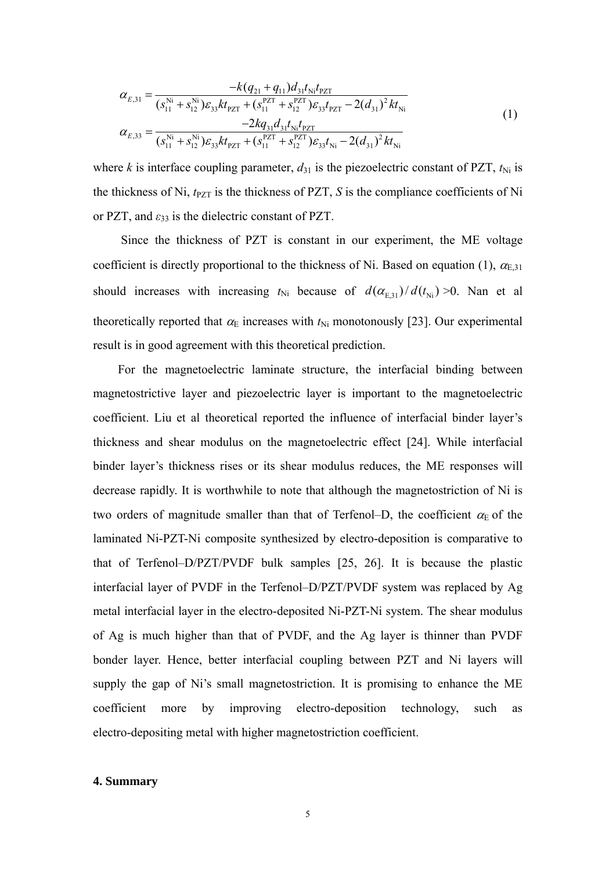$$
\alpha_{E,31} = \frac{-k(q_{21} + q_{11})d_{31}t_{N1}t_{PZT}}{(s_{11}^{Ni} + s_{12}^{Ni})\varepsilon_{33}kt_{PZT} + (s_{11}^{PZT} + s_{12}^{PZT})\varepsilon_{33}t_{PZT} - 2(d_{31})^2kt_{Ni}} - 2kq_{31}d_{31}t_{Ni}t_{PZT} - 2(d_{31})^2kt_{Ni}
$$
\n
$$
\alpha_{E,33} = \frac{-2kq_{31}d_{31}t_{Ni}t_{PZT}}{(s_{11}^{Ni} + s_{12}^{Ni})\varepsilon_{33}kt_{PZT} + (s_{11}^{PZT} + s_{12}^{PZT})\varepsilon_{33}t_{Ni} - 2(d_{31})^2kt_{Ni}}
$$
\n(1)

where *k* is interface coupling parameter,  $d_{31}$  is the piezoelectric constant of PZT,  $t_{\text{Ni}}$  is the thickness of Ni,  $t_{PZT}$  is the thickness of PZT, *S* is the compliance coefficients of Ni or PZT, and *ε*33 is the dielectric constant of PZT.

Since the thickness of PZT is constant in our experiment, the ME voltage coefficient is directly proportional to the thickness of Ni. Based on equation (1),  $\alpha_{E,31}$ should increases with increasing  $t_{\text{Ni}}$  because of  $d(\alpha_{\text{E31}})/d(t_{\text{Ni}}) > 0$ . Nan et all theoretically reported that  $\alpha_E$  increases with  $t_{Ni}$  monotonously [23]. Our experimental result is in good agreement with this theoretical prediction.

For the magnetoelectric laminate structure, the interfacial binding between magnetostrictive layer and piezoelectric layer is important to the magnetoelectric coefficient. Liu et al theoretical reported the influence of interfacial binder layer's thickness and shear modulus on the magnetoelectric effect [24]. While interfacial binder layer's thickness rises or its shear modulus reduces, the ME responses will decrease rapidly. It is worthwhile to note that although the magnetostriction of Ni is two orders of magnitude smaller than that of Terfenol–D, the coefficient  $\alpha_{E}$  of the laminated Ni-PZT-Ni composite synthesized by electro-deposition is comparative to that of Terfenol–D/PZT/PVDF bulk samples [25, 26]. It is because the plastic interfacial layer of PVDF in the Terfenol–D/PZT/PVDF system was replaced by Ag metal interfacial layer in the electro-deposited Ni-PZT-Ni system. The shear modulus of Ag is much higher than that of PVDF, and the Ag layer is thinner than PVDF bonder layer. Hence, better interfacial coupling between PZT and Ni layers will supply the gap of Ni's small magnetostriction. It is promising to enhance the ME coefficient more by improving electro-deposition technology, such as electro-depositing metal with higher magnetostriction coefficient.

#### **4. Summary**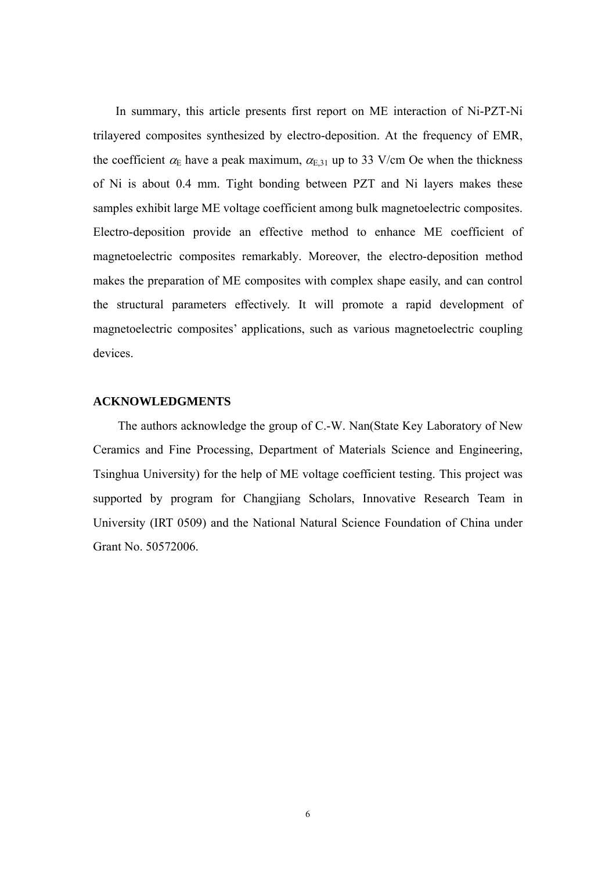In summary, this article presents first report on ME interaction of Ni-PZT-Ni trilayered composites synthesized by electro-deposition. At the frequency of EMR, the coefficient  $\alpha_E$  have a peak maximum,  $\alpha_{E,31}$  up to 33 V/cm Oe when the thickness of Ni is about 0.4 mm. Tight bonding between PZT and Ni layers makes these samples exhibit large ME voltage coefficient among bulk magnetoelectric composites. Electro-deposition provide an effective method to enhance ME coefficient of magnetoelectric composites remarkably. Moreover, the electro-deposition method makes the preparation of ME composites with complex shape easily, and can control the structural parameters effectively. It will promote a rapid development of magnetoelectric composites' applications, such as various magnetoelectric coupling devices.

# **ACKNOWLEDGMENTS**

 The authors acknowledge the group of C.-W. Nan(State Key Laboratory of New Ceramics and Fine Processing, Department of Materials Science and Engineering, Tsinghua University) for the help of ME voltage coefficient testing. This project was supported by program for Changjiang Scholars, Innovative Research Team in University (IRT 0509) and the National Natural Science Foundation of China under Grant No. 50572006.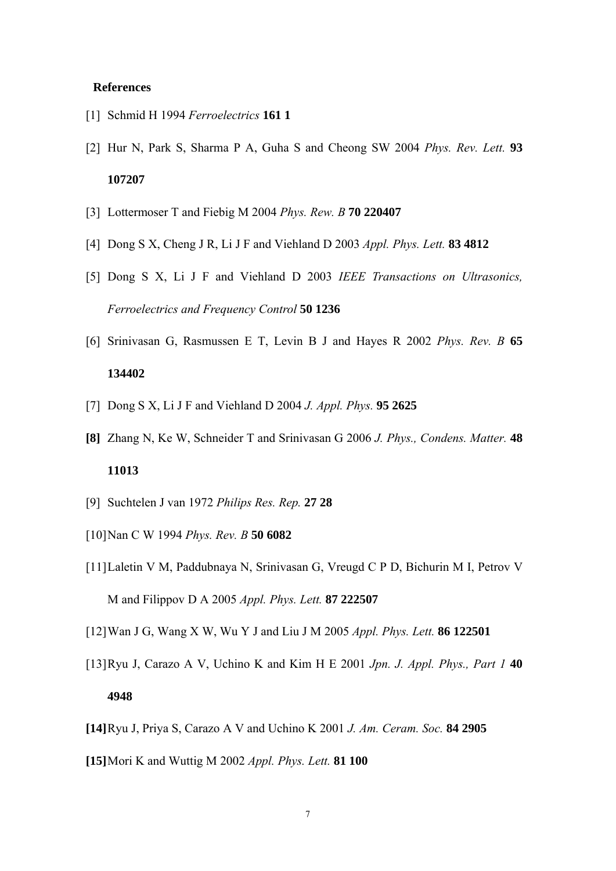### **References**

- [1] Schmid H 1994 *Ferroelectrics* **161 1**
- [2] Hur N, Park S, Sharma P A, Guha S and Cheong SW 2004 *Phys. Rev. Lett.* **93 107207**
- [3] Lottermoser T and Fiebig M 2004 *Phys. Rew. B* **70 220407**
- [4] Dong S X, Cheng J R, Li J F and Viehland D 2003 *Appl. Phys. Lett.* **83 4812**
- [5] Dong S X, Li J F and Viehland D 2003 *IEEE Transactions on Ultrasonics, Ferroelectrics and Frequency Control* **50 1236**
- [6] Srinivasan G, Rasmussen E T, Levin B J and Hayes R 2002 *Phys. Rev. B* **65 134402**
- [7] Dong S X, Li J F and Viehland D 2004 *J. Appl. Phys.* **95 2625**
- **[8]** Zhang N, Ke W, Schneider T and Srinivasan G 2006 *J. Phys., Condens. Matter.* **48 11013**
- [9] Suchtelen J van 1972 *Philips Res. Rep.* **27 28**
- [10]Nan C W 1994 *Phys. Rev. B* **50 6082**
- [11]Laletin V M, Paddubnaya N, Srinivasan G, Vreugd C P D, Bichurin M I, Petrov V M and Filippov D A 2005 *Appl. Phys. Lett.* **87 222507**
- [12]Wan J G, Wang X W, Wu Y J and Liu J M 2005 *Appl. Phys. Lett.* **86 122501**
- [13]Ryu J, Carazo A V, Uchino K and Kim H E 2001 *Jpn. J. Appl. Phys., Part 1* **40 4948**
- **[14]**Ryu J, Priya S, Carazo A V and Uchino K 2001 *J. Am. Ceram. Soc.* **84 2905**
- **[15]**Mori K and Wuttig M 2002 *Appl. Phys. Lett.* **81 100**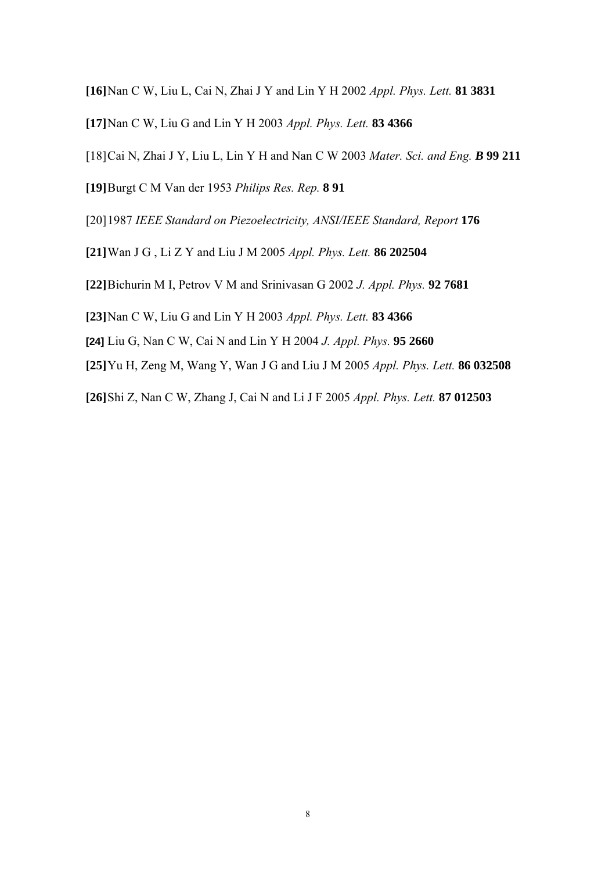- **[16]**Nan C W, Liu L, Cai N, Zhai J Y and Lin Y H 2002 *Appl. Phys. Lett.* **81 3831**
- **[17]**Nan C W, Liu G and Lin Y H 2003 *Appl. Phys. Lett.* **83 4366**
- [18]Cai N, Zhai J Y, Liu L, Lin Y H and Nan C W 2003 *Mater. Sci. and Eng. B* **99 211**
- **[19]**Burgt C M Van der 1953 *Philips Res. Rep.* **8 91**
- [20]1987 *IEEE Standard on Piezoelectricity, ANSI/IEEE Standard, Report* **176**
- **[21]**Wan J G , Li Z Y and Liu J M 2005 *Appl. Phys. Lett.* **86 202504**
- **[22]**Bichurin M I, Petrov V M and Srinivasan G 2002 *J. Appl. Phys.* **92 7681**
- **[23]**Nan C W, Liu G and Lin Y H 2003 *Appl. Phys. Lett.* **83 4366**
- **[24]** Liu G, Nan C W, Cai N and Lin Y H 2004 *J. Appl. Phys.* **95 2660**
- **[25]**Yu H, Zeng M, Wang Y, Wan J G and Liu J M 2005 *Appl. Phys. Lett.* **86 032508**
- **[26]**Shi Z, Nan C W, Zhang J, Cai N and Li J F 2005 *Appl. Phys. Lett.* **87 012503**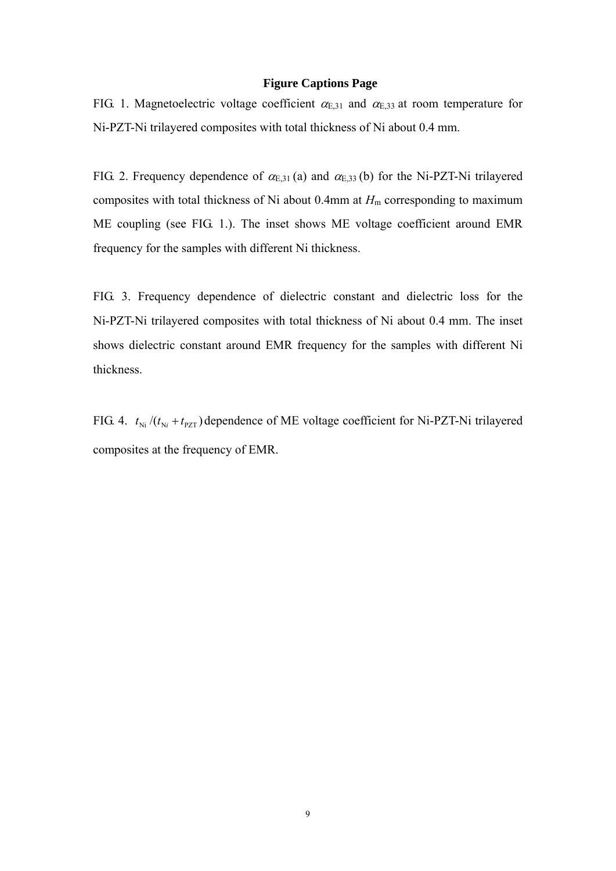#### **Figure Captions Page**

FIG. 1. Magnetoelectric voltage coefficient  $\alpha_{E,31}$  and  $\alpha_{E,33}$  at room temperature for Ni-PZT-Ni trilayered composites with total thickness of Ni about 0.4 mm.

FIG. 2. Frequency dependence of  $\alpha_{E,31}$  (a) and  $\alpha_{E,33}$  (b) for the Ni-PZT-Ni trilayered composites with total thickness of Ni about  $0.4$ mm at  $H<sub>m</sub>$  corresponding to maximum ME coupling (see FIG. 1.). The inset shows ME voltage coefficient around EMR frequency for the samples with different Ni thickness.

FIG. 3. Frequency dependence of dielectric constant and dielectric loss for the Ni-PZT-Ni trilayered composites with total thickness of Ni about 0.4 mm. The inset shows dielectric constant around EMR frequency for the samples with different Ni thickness.

FIG. 4.  $t_{\text{Ni}}/(t_{\text{Ni}} + t_{\text{PZT}})$  dependence of ME voltage coefficient for Ni-PZT-Ni trilayered composites at the frequency of EMR.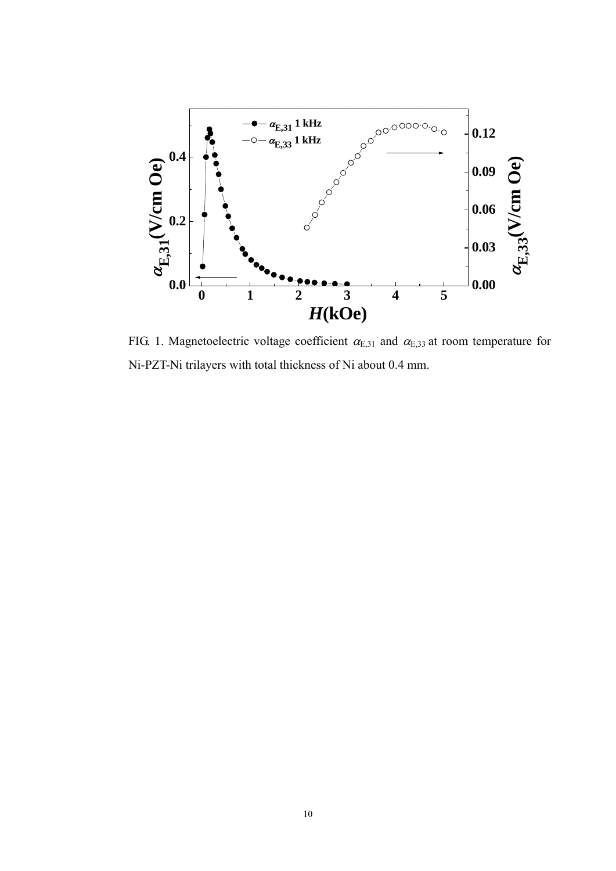

FIG. 1. Magnetoelectric voltage coefficient  $\alpha_{E,31}$  and  $\alpha_{E,33}$  at room temperature for Ni-PZT-Ni trilayers with total thickness of Ni about 0.4 mm.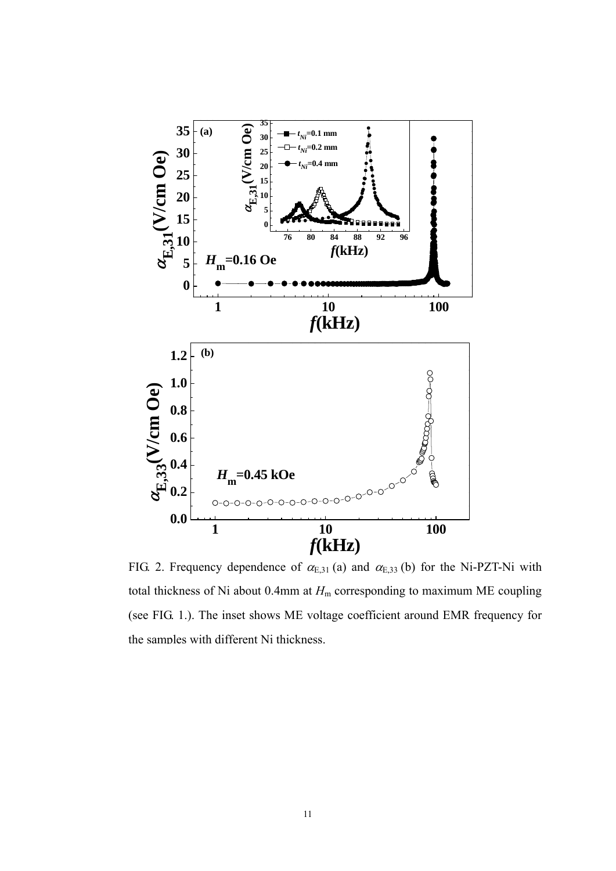

FIG. 2. Frequency dependence of  $\alpha_{E,31}$  (a) and  $\alpha_{E,33}$  (b) for the Ni-PZT-Ni with total thickness of Ni about 0.4mm at  $H_m$  corresponding to maximum ME coupling (see FIG. 1.). The inset shows ME voltage coefficient around EMR frequency for the samples with different Ni thickness.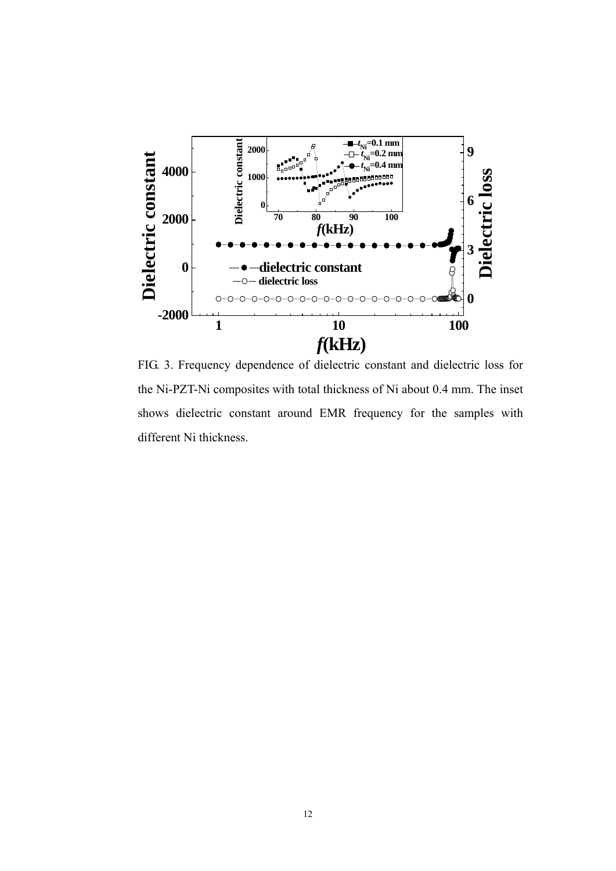

FIG. 3. Frequency dependence of dielectric constant and dielectric loss for the Ni-PZT-Ni composites with total thickness of Ni about 0.4 mm. The inset shows dielectric constant around EMR frequency for the samples with different Ni thickness.